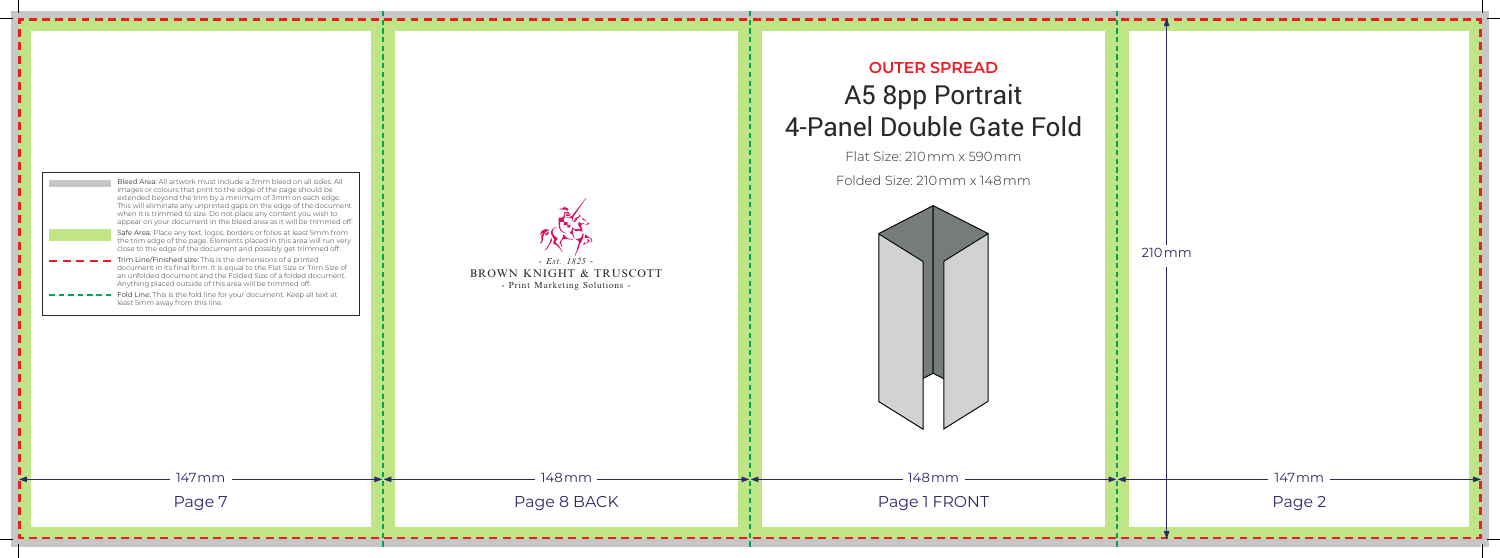

## **OUTER SPREAD** A5 8pp Portrait 4-Panel Double Gate Fold